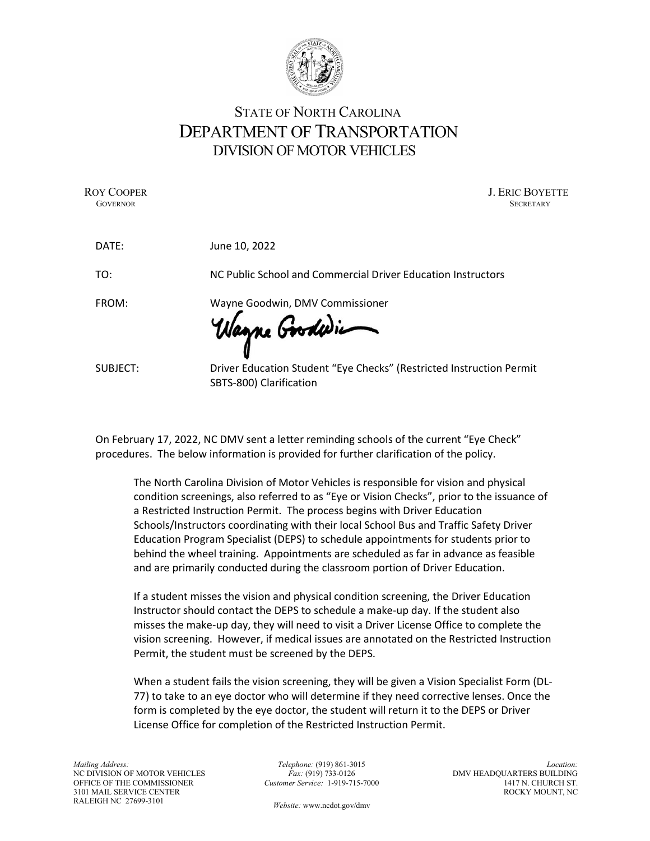

## STATE OF NORTH CAROLINA DEPARTMENT OF TRANSPORTATION DIVISION OF MOTOR VEHICLES

ROY COOPER J. ERIC BOYETTE GOVERNOR SECRETARY SECRETARY SECRETARY SECRETARY SECRETARY SECRETARY SECRETARY SECRETARY

| DATE:    | June 10, 2022                                                                                   |
|----------|-------------------------------------------------------------------------------------------------|
| TO:      | NC Public School and Commercial Driver Education Instructors                                    |
| FROM:    | Wayne Goodwin, DMV Commissioner<br>Wagne Goodwin                                                |
| SUBJECT: | Driver Education Student "Eye Checks" (Restricted Instruction Permit<br>SBTS-800) Clarification |

On February 17, 2022, NC DMV sent a letter reminding schools of the current "Eye Check" procedures. The below information is provided for further clarification of the policy.

The North Carolina Division of Motor Vehicles is responsible for vision and physical condition screenings, also referred to as "Eye or Vision Checks", prior to the issuance of a Restricted Instruction Permit. The process begins with Driver Education Schools/Instructors coordinating with their local School Bus and Traffic Safety Driver Education Program Specialist (DEPS) to schedule appointments for students prior to behind the wheel training. Appointments are scheduled as far in advance as feasible and are primarily conducted during the classroom portion of Driver Education.

If a student misses the vision and physical condition screening, the Driver Education Instructor should contact the DEPS to schedule a make-up day. If the student also misses the make-up day, they will need to visit a Driver License Office to complete the vision screening. However, if medical issues are annotated on the Restricted Instruction Permit, the student must be screened by the DEPS.

When a student fails the vision screening, they will be given a Vision Specialist Form (DL-77) to take to an eye doctor who will determine if they need corrective lenses. Once the form is completed by the eye doctor, the student will return it to the DEPS or Driver License Office for completion of the Restricted Instruction Permit.

Telephone: (919) 861-3015  $Fax: (919) 733-0126$ Customer Service: 1-919-715-7000

Location: DMV HEADQUARTERS BUILDING 1417 N. CHURCH ST. ROCKY MOUNT, NC

Website: www.ncdot.gov/dmv